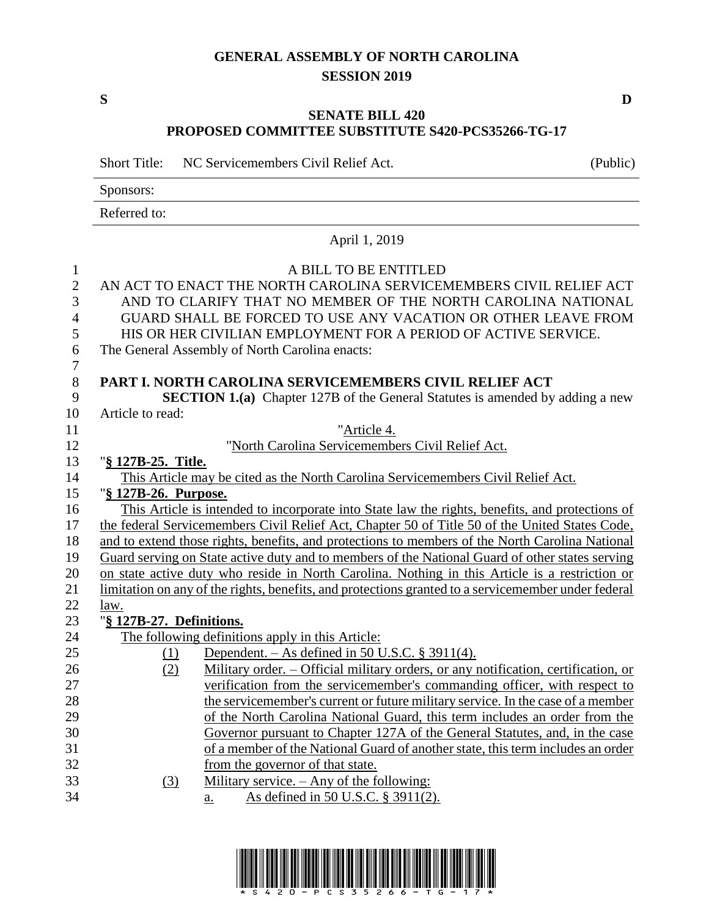## **GENERAL ASSEMBLY OF NORTH CAROLINA SESSION 2019**

## **SENATE BILL 420 PROPOSED COMMITTEE SUBSTITUTE S420-PCS35266-TG-17**

Short Title: NC Servicemembers Civil Relief Act. (Public)

Sponsors: Referred to: April 1, 2019 A BILL TO BE ENTITLED AN ACT TO ENACT THE NORTH CAROLINA SERVICEMEMBERS CIVIL RELIEF ACT AND TO CLARIFY THAT NO MEMBER OF THE NORTH CAROLINA NATIONAL GUARD SHALL BE FORCED TO USE ANY VACATION OR OTHER LEAVE FROM HIS OR HER CIVILIAN EMPLOYMENT FOR A PERIOD OF ACTIVE SERVICE. The General Assembly of North Carolina enacts: **PART I. NORTH CAROLINA SERVICEMEMBERS CIVIL RELIEF ACT SECTION 1.(a)** Chapter 127B of the General Statutes is amended by adding a new Article to read: "Article 4. "North Carolina Servicemembers Civil Relief Act. "**§ 127B-25. Title.** This Article may be cited as the North Carolina Servicemembers Civil Relief Act. "**§ 127B-26. Purpose.** This Article is intended to incorporate into State law the rights, benefits, and protections of 17 the federal Servicemembers Civil Relief Act, Chapter 50 of Title 50 of the United States Code, and to extend those rights, benefits, and protections to members of the North Carolina National Guard serving on State active duty and to members of the National Guard of other states serving on state active duty who reside in North Carolina. Nothing in this Article is a restriction or limitation on any of the rights, benefits, and protections granted to a servicemember under federal law. "**§ 127B-27. Definitions.** The following definitions apply in this Article: (1) Dependent. – As defined in 50 U.S.C. § 3911(4). (2) Military order. – Official military orders, or any notification, certification, or verification from the servicemember's commanding officer, with respect to 28 the servicemember's current or future military service. In the case of a member of the North Carolina National Guard, this term includes an order from the Governor pursuant to Chapter 127A of the General Statutes, and, in the case of a member of the National Guard of another state, this term includes an order from the governor of that state. (3) Military service. – Any of the following: a. As defined in 50 U.S.C. § 3911(2).



**S D**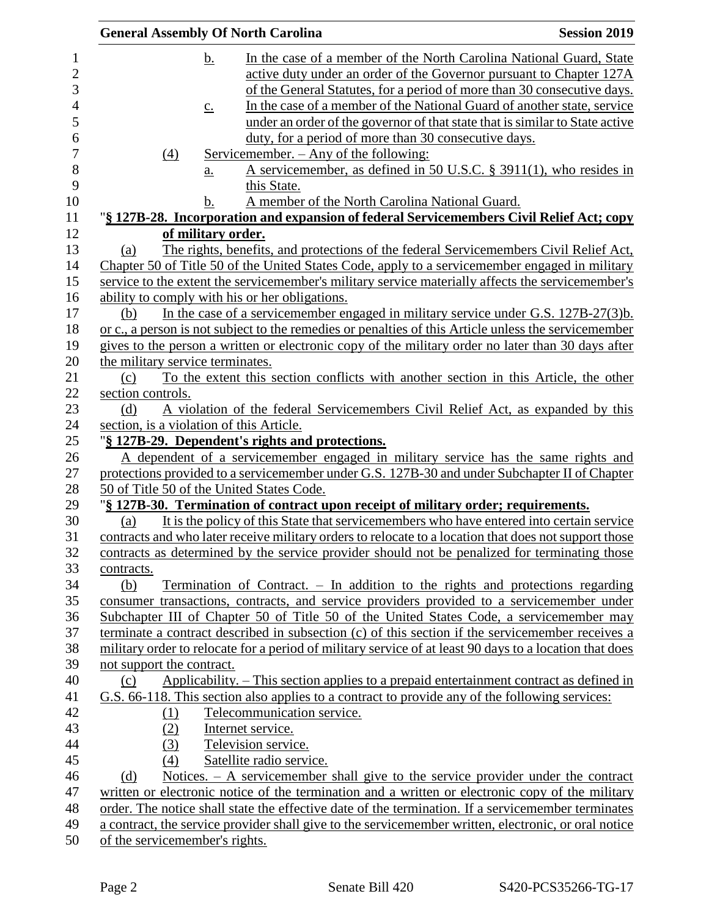| <b>General Assembly Of North Carolina</b>      |                                                                                                         | <b>Session 2019</b> |
|------------------------------------------------|---------------------------------------------------------------------------------------------------------|---------------------|
| <u>b.</u>                                      | In the case of a member of the North Carolina National Guard, State                                     |                     |
|                                                | active duty under an order of the Governor pursuant to Chapter 127A                                     |                     |
|                                                | of the General Statutes, for a period of more than 30 consecutive days.                                 |                     |
| $\underline{c}$ .                              | In the case of a member of the National Guard of another state, service                                 |                     |
|                                                | under an order of the governor of that state that is similar to State active                            |                     |
|                                                | duty, for a period of more than 30 consecutive days.                                                    |                     |
| $\Delta$                                       | <u>Servicemember. – Any of the following:</u>                                                           |                     |
| $\underline{a}$ .                              | A servicemember, as defined in 50 U.S.C. § 3911(1), who resides in<br>this State.                       |                     |
| b.                                             | A member of the North Carolina National Guard.                                                          |                     |
|                                                | "§ 127B-28. Incorporation and expansion of federal Servicemembers Civil Relief Act; copy                |                     |
| of military order.                             |                                                                                                         |                     |
| (a)                                            | The rights, benefits, and protections of the federal Servicemembers Civil Relief Act,                   |                     |
|                                                | Chapter 50 of Title 50 of the United States Code, apply to a servicemember engaged in military          |                     |
|                                                | service to the extent the servicemember's military service materially affects the servicemember's       |                     |
| ability to comply with his or her obligations. |                                                                                                         |                     |
| (b)                                            | In the case of a servicemember engaged in military service under G.S. $127B-27(3)b$ .                   |                     |
|                                                | or c., a person is not subject to the remedies or penalties of this Article unless the servicemember    |                     |
|                                                | gives to the person a written or electronic copy of the military order no later than 30 days after      |                     |
| the military service terminates.               |                                                                                                         |                     |
| (c)                                            | To the extent this section conflicts with another section in this Article, the other                    |                     |
| section controls.                              |                                                                                                         |                     |
| (d)                                            | A violation of the federal Servicemembers Civil Relief Act, as expanded by this                         |                     |
| section, is a violation of this Article.       |                                                                                                         |                     |
|                                                | "§ 127B-29. Dependent's rights and protections.                                                         |                     |
|                                                | A dependent of a servicemember engaged in military service has the same rights and                      |                     |
|                                                | protections provided to a servicemember under G.S. 127B-30 and under Subchapter II of Chapter           |                     |
| 50 of Title 50 of the United States Code.      |                                                                                                         |                     |
|                                                | "§ 127B-30. Termination of contract upon receipt of military order; requirements.                       |                     |
| (a)                                            | It is the policy of this State that servicemembers who have entered into certain service                |                     |
|                                                | contracts and who later receive military orders to relocate to a location that does not support those   |                     |
|                                                | contracts as determined by the service provider should not be penalized for terminating those           |                     |
| contracts.                                     |                                                                                                         |                     |
| (b)                                            | Termination of Contract. $-$ In addition to the rights and protections regarding                        |                     |
|                                                | consumer transactions, contracts, and service providers provided to a servicemember under               |                     |
|                                                | Subchapter III of Chapter 50 of Title 50 of the United States Code, a servicemember may                 |                     |
|                                                | terminate a contract described in subsection (c) of this section if the servicemember receives a        |                     |
|                                                | military order to relocate for a period of military service of at least 90 days to a location that does |                     |
| not support the contract.                      |                                                                                                         |                     |
| (c)                                            | Applicability. - This section applies to a prepaid entertainment contract as defined in                 |                     |
|                                                | G.S. 66-118. This section also applies to a contract to provide any of the following services:          |                     |
| (1)                                            | Telecommunication service.                                                                              |                     |
| (2)                                            | Internet service.                                                                                       |                     |
| (3)                                            | Television service.                                                                                     |                     |
| (4)                                            | Satellite radio service.                                                                                |                     |
| (d)                                            | Notices. – A servicemember shall give to the service provider under the contract                        |                     |
|                                                | written or electronic notice of the termination and a written or electronic copy of the military        |                     |
|                                                | order. The notice shall state the effective date of the termination. If a servicemember terminates      |                     |
|                                                | a contract, the service provider shall give to the servicemember written, electronic, or oral notice    |                     |
| of the servicemember's rights.                 |                                                                                                         |                     |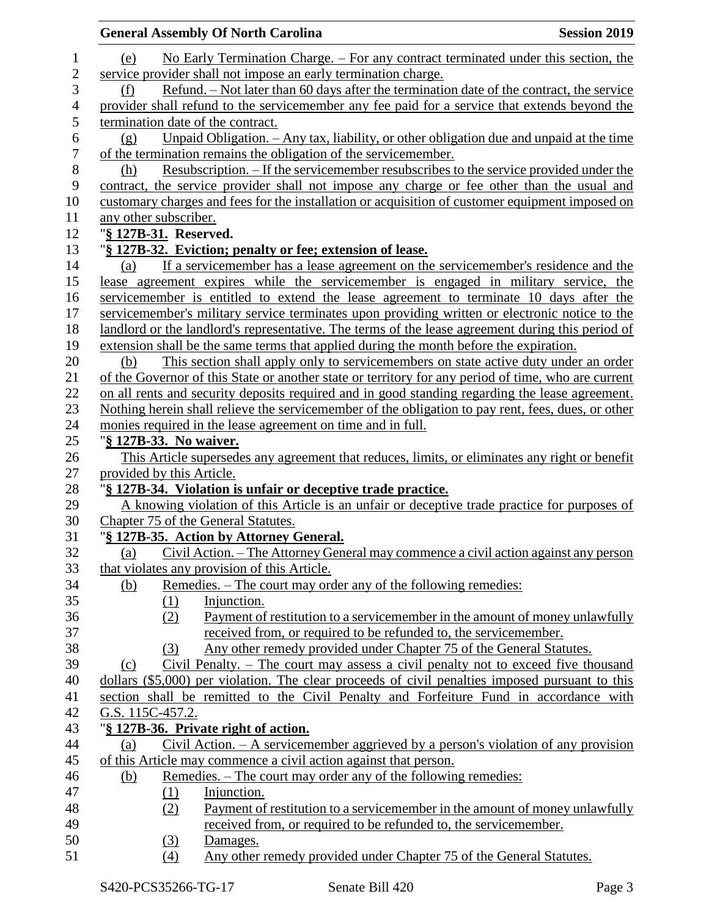|                | <b>General Assembly Of North Carolina</b><br><b>Session 2019</b>                                    |
|----------------|-----------------------------------------------------------------------------------------------------|
| $\mathbf{1}$   | No Early Termination Charge. – For any contract terminated under this section, the<br>(e)           |
| $\overline{c}$ | service provider shall not impose an early termination charge.                                      |
| 3              | Refund. – Not later than 60 days after the termination date of the contract, the service<br>(f)     |
| $\overline{4}$ | provider shall refund to the servicemember any fee paid for a service that extends beyond the       |
| 5              | termination date of the contract.                                                                   |
| 6              | Unpaid Obligation. $-$ Any tax, liability, or other obligation due and unpaid at the time<br>(g)    |
| $\overline{7}$ | of the termination remains the obligation of the servicemember.                                     |
| 8              | <u>Resubscription. – If the servicemember resubscribes to the service provided under the</u><br>(h) |
| 9              | contract, the service provider shall not impose any charge or fee other than the usual and          |
| 10             | customary charges and fees for the installation or acquisition of customer equipment imposed on     |
| 11             | any other subscriber.                                                                               |
| 12             | "§ 127B-31. Reserved.                                                                               |
| 13             | "§ 127B-32. Eviction; penalty or fee; extension of lease.                                           |
| 14             | If a servicemember has a lease agreement on the servicemember's residence and the<br>(a)            |
| 15             | lease agreement expires while the servicemember is engaged in military service, the                 |
| 16             | servicemember is entitled to extend the lease agreement to terminate 10 days after the              |
| 17             | servicemember's military service terminates upon providing written or electronic notice to the      |
| 18             | landlord or the landlord's representative. The terms of the lease agreement during this period of   |
| 19             | extension shall be the same terms that applied during the month before the expiration.              |
| 20             | This section shall apply only to servicemembers on state active duty under an order<br>(b)          |
| 21             | of the Governor of this State or another state or territory for any period of time, who are current |
| 22             | on all rents and security deposits required and in good standing regarding the lease agreement.     |
| 23             | Nothing herein shall relieve the servicemember of the obligation to pay rent, fees, dues, or other  |
| 24             | monies required in the lease agreement on time and in full.                                         |
| $25\,$         | "§ 127B-33. No waiver.                                                                              |
| 26             | This Article supersedes any agreement that reduces, limits, or eliminates any right or benefit      |
| 27             | provided by this Article.                                                                           |
| 28             | "§ 127B-34. Violation is unfair or deceptive trade practice.                                        |
| 29             | A knowing violation of this Article is an unfair or deceptive trade practice for purposes of        |
| 30             | Chapter 75 of the General Statutes.                                                                 |
| 31             | "§ 127B-35. Action by Attorney General.                                                             |
| 32             | Civil Action. – The Attorney General may commence a civil action against any person<br>(a)          |
| 33             | that violates any provision of this Article.                                                        |
| 34             | Remedies. – The court may order any of the following remedies:<br><u>(b)</u>                        |
| 35             | Injunction.<br>(1)                                                                                  |
| 36             | Payment of restitution to a servicemember in the amount of money unlawfully<br>(2)                  |
| 37             | received from, or required to be refunded to, the servicemember.                                    |
| 38             | Any other remedy provided under Chapter 75 of the General Statutes.<br>(3)                          |
| 39             | Civil Penalty. – The court may assess a civil penalty not to exceed five thousand<br>(c)            |
| 40             | dollars (\$5,000) per violation. The clear proceeds of civil penalties imposed pursuant to this     |
| 41             | section shall be remitted to the Civil Penalty and Forfeiture Fund in accordance with               |
| 42             | G.S. 115C-457.2.                                                                                    |
| 43             | "§ 127B-36. Private right of action.                                                                |
| 44             | Civil Action. $-$ A servicemember aggrieved by a person's violation of any provision<br>(a)         |
| 45             | of this Article may commence a civil action against that person.                                    |
| 46             | Remedies. – The court may order any of the following remedies:<br>(b)                               |
| 47             | Injunction.<br>$\Omega$                                                                             |
| 48             | (2)<br>Payment of restitution to a servicemember in the amount of money unlawfully                  |
| 49             | received from, or required to be refunded to, the servicemember.                                    |
| 50             | $\left(3\right)$<br>Damages.                                                                        |
| 51             | (4)<br>Any other remedy provided under Chapter 75 of the General Statutes.                          |